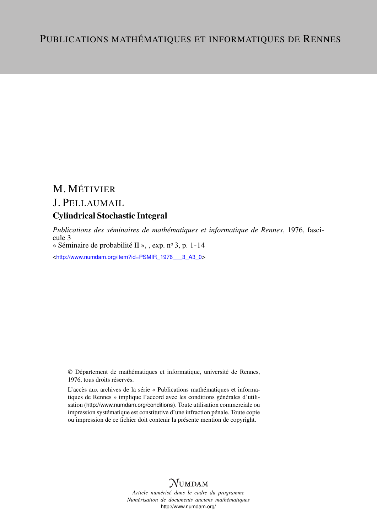# M. MÉTIVIER J. PELLAUMAIL

# Cylindrical Stochastic Integral

*Publications des séminaires de mathématiques et informatique de Rennes*, 1976, fascicule 3

« Séminaire de probabilité II », , exp.  $n^{\circ}$  3, p. 1-14

<[http://www.numdam.org/item?id=PSMIR\\_1976\\_\\_\\_3\\_A3\\_0](http://www.numdam.org/item?id=PSMIR_1976___3_A3_0)>

© Département de mathématiques et informatique, université de Rennes, 1976, tous droits réservés.

L'accès aux archives de la série « Publications mathématiques et informatiques de Rennes » implique l'accord avec les conditions générales d'utilisation (<http://www.numdam.org/conditions>). Toute utilisation commerciale ou impression systématique est constitutive d'une infraction pénale. Toute copie ou impression de ce fichier doit contenir la présente mention de copyright.



*Article numérisé dans le cadre du programme Numérisation de documents anciens mathématiques* <http://www.numdam.org/>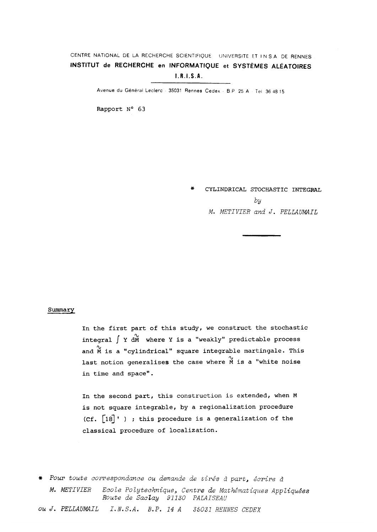# **CENTR E NATIONA L D E L A RECHERCH E SCIENTIFIQU E UNIVERSIT E E T I N S.A . D E RENNE S INSTITUT de RECHERCHE en INFORMATIQUE et SYSTÈMES ALÉATOIRES** IRISA .

**Avenu e d u Généra l Lecler c - 3503 1 Renne s Cede x • B P 2 5 A Te l 3 6 4 8 1 5** 

**Rapport N° 63** 

**\* CYLINDRICAL STOCHASTIC INTEGRAL**  by M. METIVIER and J. PELLAUMAIL

# **Summary**

**In the first part of this study, we construct the stochastic**  integral  $\int Y dM$  where Y is a "weakly" predictable process and  $\stackrel{\sim}{M}$  is a "cylindrical" square integrable martingale. This last notion generalises the case where M is a "white noise in time and space".

**In the second part, this construction is extended, when M is not square integrable, by a regionalization procédure (Cf. [l8] <sup>1</sup> ) ; this procédure is a generalization of the classical procédure of localization.** 

# Pour toute correspondance ou demande de tirés à part, écrire à M. METIV1ER Ecole Polytechnique, Centre de Mathématiques Appliquées Route de Saclay 91130 PALAISEAU ou J. PELLAUMAIL I.N.S.A. B.P. 14 A 35031 RENNES CEDEX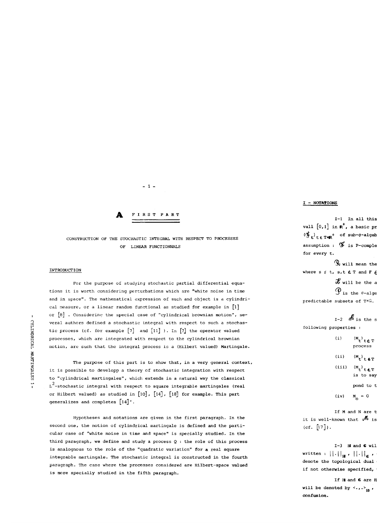# *J±* **FIRS T PAR T**

**- 1 -**

# **CONSTRUCTION OF THE STOCHASTIC INTEGRAL WITH RESPECT TO PROCESSES OF LINEAR FUNCTIONNALS**

# **INTRODUCTION**

**For the purpose of studying stochastic partial differential équations it is worth considering perturbations which are "white noise in tirae and in space". The mathematical expression of such and object is a cylindrical measure, or a linear random functional as studied for example in [l]**  or [8] . Considering the special case of "cylindrical brownian motion", several authors defined a stochastic integral with respect to such a stochastic process (cf. for example  $[7]$  and  $[11]$  ). In  $[7]$  the operator valued **S processes, which are integrated with respect to the cylindrical brownian**  motion, are such that the integral process is a (Hilbert valued) Martingale.

The purpose of this part is to show that, in a very general context, it is possible to developp a theory of stochastic integration with respect<br>to "cylindrical martingales", which extends in a natural way the classical **e** the <sup>1</sup>-stochastic integral with respect to square integrable martingales (real **1 L -stochastic intégral with respect to square integrable martingales (real generalizes and completes [14]'.** 

**Hypothèses and notations are given in the first paragraph. In the second one, the notion of cylindrical martingale is defined and the particular case of "white noise in time and space" is specially studied. In the third paragraph, we define and study a process Q : the rôle of this process**  is analognous to the role of the "quadratic variation" for a real square **integrable martingale. The stochastic intégral is constructed in the fourth paragraph. The case where the processes considered are Hilbert-space valued is more specially studied in the fifth paragraph.** 

# **I - NOTATION S**

**1 - <sup>1</sup> In ail this paper we will assume that T is the closed inter** $val1$   $[0,1]$  in  $\mathbb{R}^+$ , a basic pr  $\mathbf{F}$ <sub>+</sub> $\mathbf{F}$ <sub>r</sub>  $\mathbf{F}$ <sub>1</sub>  $\mathbf{F}$  of sub-o-algeb **assumption :**  $\mathbf{\vec{S}}$  is P-comple **for every t.**   $\mathcal{S}_{\mathbf{v}}$  will mean the

where  $s \leq t$ ,  $s$ ,  $t \in T$  and  $F \in$ 

 $\mathcal{X}$  will be the a

 $\mathcal{P}_{\text{is the } \sigma\text{-alge}}$ 

**predictable subsets of T\*&.** 

 $1-2$  *n*  $\boldsymbol{\theta}$  is the s **following properties :** 

> (i)  $(M_t)_{t \in T}$ **process**   $(i \textbf{i})$   $(M_t)$  **te**T **<sup>i</sup> s a s< ï**

**(iii)**  $(M_t)$ <sub>t</sub> $\in$ T is to say

**pond to the same élément of** t/fo #

$$
(iv) \qquad M_{\circ} = 0
$$

 $I$ **f M** and **N** are t it is well-known that  $\mathcal{M}_{\mathbf{1}}$  is **(cf. [17]).** 

 $1-3$  **H** and **G** will  $\text{written : } || \cdot ||_{\alpha}$  ,  $|| \cdot ||_{\alpha}$  ,  $\cdot$ denote the topological dual if not otherwise specified,

**If H and 6 are H will be denoted by**  $\langle \cdot, \cdot \rangle_{\mathbb{R}}$  **, confusion.**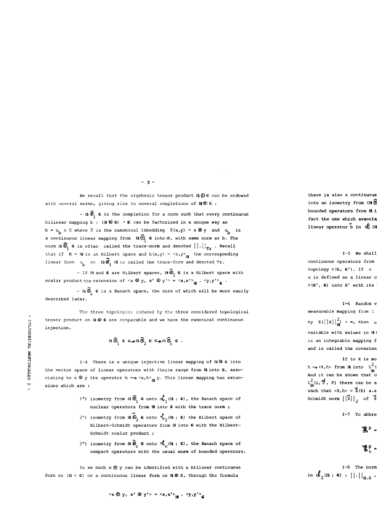We recall that the algebraic tensor product  $H \otimes G$  can be endowed with several norms, giving rise to several completions of  $H \otimes G$ :

**- 3 -**

**- Hl** *'ê* **G is the completion for a norm such that every continuous**  bilinear mapping b : (H<sup>2</sup>  $\bullet$ ) + K can be factorized in a unique way as  $b = \nu \int_{b}^{\infty}$  o II where II is the canonical inbedding  $\mathbb{I}(x,y) = x \otimes y$  and  $\nu \int_{b}^{\infty}$  is **a** continuous linear mapping from  $\mathbb{H}\hat{\otimes}_{i}^{\infty}$  **6** into  $iK$ , with same norm as b. The norm  $H \widehat{\otimes}$  6 is often called the trace-norm and denoted  $\left| \cdot \right| \right|_{T}$  . Recall that if  $G = H$  is an Hilbert space and  $b(x,y) = \langle x, y \rangle_H$  the corresponding  $\lim_{h \to 0} \lim_{h \to 0} \lim_{h \to 0} \mathbf{H} = \lim_{h \to 0} \lim_{h \to 0} \lim_{h \to 0} \lim_{h \to 0} \lim_{h \to 0} \lim_{h \to 0} \lim_{h \to 0} \lim_{h \to 0} \lim_{h \to 0} \lim_{h \to 0} \lim_{h \to 0} \lim_{h \to 0} \lim_{h \to 0} \lim_{h \to 0} \lim_{h \to 0} \lim_{h \to 0} \lim_{h \to 0} \lim_{h \to 0} \lim_{h \to 0} \lim_{h \to 0} \lim_{h \to$ 

**-** If H and **€** are Hilbert spaces,  $\textbf{H} \, \widehat{\otimes}_{2}$  **€** is a Hilbert space with **scalar product the extension of**  $\langle x, \emptyset \rangle$  **<b>x**  $\langle \emptyset \rangle$  **'**  $>$  =  $\langle x, x' \rangle$ <sub>m</sub>  $\langle y, y' \rangle$ <sub>c</sub>  $\langle y, y' \rangle$ 

**- H**<sup>◎</sup> **E** is a Banach space, the norm of which will be more easily **described later.** 

The **three topolocies induced** by the **three considered topological tensor product** on **B <2> G are comparable and we have the canonical continuous injection.** 

$$
\text{H} \,\widehat{\otimes}_{\text{I}} \ \text{C} \longrightarrow \text{H} \,\widehat{\otimes}_{\text{I}} \ \text{C} \hookrightarrow \text{H} \,\widehat{\otimes}_{\text{C}} \ \text{C} \ .
$$

**1-4 There is a unique injective linear mapping of Hl ® G into**  the vector space of linear operators with finite range from **H** into **G**, associating to x  $\otimes$  y the operator h  $\leadsto$   $\langle x,h \rangle$ <sub>r</sub>, y. This linear mapping has exten**sions which are :** 

- 1°) isometry from  $H \widehat{\otimes}^{}_{i}$  **6** onto  $\sigma^{}_{i}$  (Hl; **G**), the Banach space of nuclear operators from **B** into **G** with the trace norm ;
- 2°) isometry from  $\mathbf{H} \otimes_2^{\bullet} \mathbf{G}$  onto  $\mathbf{C}$ <sub>2</sub>( $\mathbf{H}$ ;  $\mathbf{G}$ ) the Hilbert space of **Hilbert-Schmidt operators from B into G with the Hilbert-Schmidt scalar product ;**
- **3°) isometry from B** *0^* **G onto °ÊC(\*\* ? G)** *i* **the Banach space of compact operators with the usual norm of bounded operators.**

In as much  $x \otimes y$  can be identified with a bilinear continuous **form on (Hl x G) or a continuous linear form on H ® G, through the formula** 

 $\langle x \otimes y, x' \otimes y' \rangle = \langle x, x' \rangle_{\mathbf{H}} \cdot \langle y, y' \rangle_{\mathbf{C}}$ 

there is also a continuous into an isometry from (H)  $\acute{\mathfrak{G}}$ bounded operators from **A** i fact the one which associa  $\text{linear operator } \tilde{\mathbf{b}}$  in  $\mathcal{R}$  (H

I-5 We shall  $continuous operators from$ **topology σ(G, G').** If **u u** is defined as a linear c  $\sigma$ (**€'**, **€**) into **H'** with its

1-6 Random v **measurable mapping from**  $\Omega$  $ty \tE(|x||_m^2) < \infty$ , then  $\omega$ **variable with values in B €> B, and as ||x ® y|| <sup>T</sup> <sup>r</sup> = ||x|| ||y| , X ® X**  is an integrable mapping f and is called the covarian

**If to X is mo h**  $\sim$  **<X,h> from B into L^( fR %**  And it can be shown that  $\alpha$  $L^2_{\text{H}}(\Omega, \mathfrak{F}, P)$  there can be a such that  $\langle X, h \rangle = X(h)$  a.s **Schmidt norm**  $\left|\begin{matrix} \tilde{x} \\ 1 \end{matrix}\right|_2$  of  $\tilde{x}$ 

$$
I-7
$$
 To abbrev

$$
\mathbf{R}^{\mathbf{p}} =
$$

$$
{}^{\ast}C_{\text{t}} =
$$

**1-8 The norm in «4 1 (B ; G) will be written ||•|| <sup>T</sup> <sup>r</sup> , the norm**   $\mathbf{M}$  **d**  $_{2}$  (**H**) ;  $\mathbf{G}$  :  $|| \cdot ||_{H.S}$  :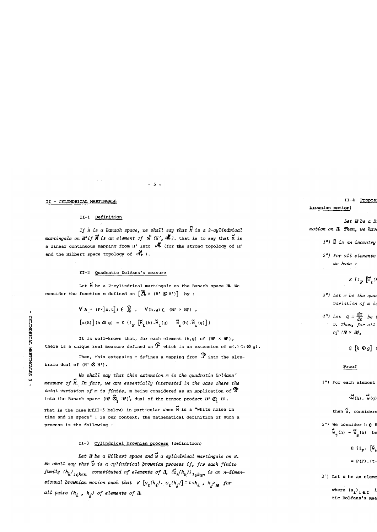# **II - CYLINDRICAL MARTINGALE**

# **II-l Définition**

**If H is a Banach space, we shall say that M is a 2-cylindrical martingale on H'if**  $\vec{N}$  **is an element of**  $\alpha_i^C$  **(H',**  $\vec{M}$ **), that is to say that**  $\vec{M}$  **is a linear continuous mapping from H' into (for the strong topology of m'**  and the Hilbert space topology of  $\mathcal{M}$ ).

**- 5 \_** 

# **I I-2 Quadratic Doléans's measure**

Let M be a 2-cylindrical martingale on the Banach space **H**. We **Let M be a 2-cylindrical martingale on the Banach space Ht We consider the function m defined on** [Jt **x (H' (g) H')] by :** 

$$
\forall \mathbf{A} = (\mathbf{F} \times \mathbf{S}, \mathbf{t}) \in \mathcal{G}, \quad \forall (\mathbf{h}, \mathbf{g}) \in (\mathbf{H}^1 \times \mathbf{H}^1),
$$
  

$$
[\mathbf{m}(\mathbf{A})] (\mathbf{h} \otimes \mathbf{g}) = E \{ \mathbf{1}_{\mathbf{F}} [\mathbf{M}_{\mathbf{t}}(\mathbf{h}) \cdot \mathbf{M}_{\mathbf{t}}(\mathbf{g}) - \mathbf{M}_{\mathbf{S}}(\mathbf{h}) \cdot \mathbf{M}_{\mathbf{S}}(\mathbf{g}) ] \}
$$

It is well-known that, for each element  $(h,g)$  of  $(H' \times H')$ , there is a unique real measure defined on  $\widehat{P}$  which is an extension of  $m(.)$  (h  $\otimes q$ ).

**then,** this extension m defines a mapping from  $\mathcal{P}$  into the alge**braic dual of**  $(H' \otimes H')$ **.** 

**<sup>w</sup> We shall say that this extension m is the quadratic Doléans' <sup>x</sup> measure of M. In fact, we are essentially interested in the case where the total variation of m is finite, m being considered as an application of**  into the Banach space  $(H' \hat{\otimes}_H' H')'$ , dual of the tensor product  $H' \otimes_H H'$ .

**(Ni That Is the case (CII-5 below)** in particular white  $\frac{1}{2}$ **time and in space" : in our context, the mathematical définition of such a process is the following :** 

# **II-3 Cylindrical brownian process (définition)**

Let **H** be a Hilbert space and  $\vec{w}$  a cylindrical martingale on H. We shall say that  $\tilde{w}$  is a cylindrical brownian process if, for each finite  $f^{u}_{k}$  ( $f^{k}_{k}$ )  $f^{k}_{k}$   $f^{k}_{k}$   $f^{l}_{k}$   $f^{l}_{k}$   $f^{l}_{k}$   $f^{l}_{k}$   $f^{l}_{k}$   $f^{l}_{k}$   $f^{l}_{k}$   $f^{l}_{k}$   $f^{l}_{k}$   $f^{l}_{k}$   $f^{l}_{k}$   $f^{l}_{k}$   $f^{l}_{k}$   $f^{l}_{k}$   $f^{l}_{k}$   $f^{l}_{k}$   $f^{l}_{k}$   $f^{l}_{k}$   $f^{l}_{k}$   $f^{l}_{k}$   $f^{$ sionnal brownian motion such that  $E\left[w_t(h_i) \cdot w_t(h_j)\right] = t \cdot h_i$ ,  $h_j >$ <sub>H</sub> for **u** t *t*  $\mathbf{r} = \mathbf{r} \cdot \mathbf{r}$   $\mathbf{r} = \mathbf{r} \cdot \mathbf{r}$   $\mathbf{r} = \mathbf{r} \cdot \mathbf{r}$   $\mathbf{r} = \mathbf{r} \cdot \mathbf{r}$ **ail pairs (h. , h.) of éléments of B.** 

II-4 Propos **brownian motion)** 

Let **H** be a H motion on H. Then, we have

1°)  $\tilde{w}$  is an isometry

2°) For all elements **we have :** 

 $E \left\{ I_p \right\}$   $\left[\vec{w}_t\right]$ 

3<sup>°</sup>) Let m be the quad  $variation$  of  $m$  *i*.

4°) Let  $Q = \frac{dm}{dv}$  be  $v$ . Then, for all  $of$  ( $H \times H$ ).

 $Q[h \otimes g]$ 

**Q [h ®g] (t,u>) = <h,g><sup>m</sup>**

Proof **Proof** 

1°) For each element

 $\langle \vec{w}(\mathbf{h})\rangle$ ,  $\vec{w}(\mathbf{q})$ 

then  $\vec{w}$ , considere

**2° )** We consider  $h \in H$  $\mathbf{w}_{+}$  (h)  $-\mathbf{w}_{e}$  (h) be

> $E \{1 \}$  **w**  $\left[\begin{matrix} \tilde{w} \\ \tilde{w} \end{matrix}\right]$  $= P(F) . (t-$

**3°) Let u be an élément of a® a with u = > X. . . a. ® a.** 

 $\mathbf{w}$  **where**  $(\mathbf{a}_i)'$ **i**  $\boldsymbol{\epsilon}$ **I <sup>i</sup> s a <sup>n</sup> orthonormal family in HL Let m be the quadratic Doléans's measure of w. If A = FxJs,tJ is an élément of & ,** 

 $\Omega$  .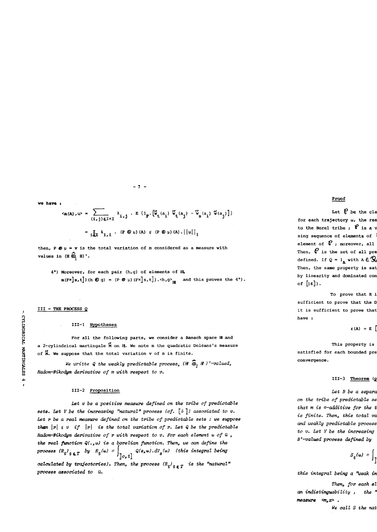$-7 -$ 

we have:

$$
\langle m(A), u \rangle = \sum_{(1, j) \in I \times I} \lambda_{1, j} \cdot E \{1_F \cdot [\tilde{w}_t(a_1) \tilde{w}_t(a_j) - \tilde{w}_s(a_1) \tilde{w}(a_j)] \}
$$
  
= 
$$
\sum_{i \in I} \lambda_{1, i} \cdot (R \otimes \mu)(A) \leq (R \otimes \mu)(A) \cdot ||u||_1
$$

then,  $P \otimes \mu = v$  is the total variation of  $m$  considered as a measure with values in  $(H \ \widehat{\otimes}_H H)'$ .

4°) Moreover, for each pair (h, g) of elements of H  $\texttt{m}(\texttt{F} \times \texttt{S}, \texttt{t}) \hspace{0.1cm} \hspace{0.1cm} \hspace{0.1cm} \texttt{m}(\texttt{S} \otimes \texttt{g}) \hspace{0.1cm} = \hspace{0.1cm} (\texttt{P} \otimes \texttt{u}) \hspace{0.1cm} (\texttt{F} \times \texttt{S}, \texttt{t}) \hspace{0.1cm} , \hspace{0.1cm} \texttt{c} \hspace{0.1cm} \texttt{h}, \hspace{0.1cm} \texttt{g} \hspace{0.1cm} \hspace{0.1cm} \hspace{0.1cm} \$ 

III - THE PROCESS Q

# III-1 Hypotheses

For all the following parts, we consider a Banach space H and a 2-cylindrical martingale M on H. We note m the quadratic Doléans's measure of M. We suppose that the total variation v of m is finite.

We writte Q the weakly predictable process,  $(H \mathcal{L}_1 H)^{\dagger}$ -valued, Radon-Nikodym derivative of m with respect to v.

# III-2 Proposition

Let v be a positive measure defined on the tribe of predictable sets. Let V be the increasing "natural" process (cf.  $[5]$ ) associated to v. Let r be a real measure defined on the tribe of predictable sets : we suppose then  $|r| \le v$  if  $|r|$  is the total variation of r. Let Q be the predictable Radon-Nikodym derivative of r with respect to v. For each element  $\omega$  of  $\Omega$ , the real function  $Q(\cdot, \omega)$  is a borelian function. Then, we can define the process  $(R_t)_{t \in T}$  by  $R_t(\omega) = \int_{[0,t]} Q(s, \omega) \, dV_g(\omega)$  (this integral being

calculated by trajectories). Then, the process  $(R_t)_{t \in T}$  is the "natural" process associated to a.

# Proof

Let  $\beta$  be the cla for each trajectory  $\omega_t$ , the rea to the Borel tribe;  $\mathbf{f}$  is a  $\mathbf{v}$ sing sequence of elements of element of  $\mathcal C$  ; moreover, all Then,  $\mathcal C$  is the set of all pre defined. If  $Q = 1$ <sub>a</sub> with  $A \in \mathbb{R}$ Then, the same property is sat by linearity and dominated con of  $[14]$ ).

To prove that R i sufficient to prove that the D it is sufficient to prove that have :

 $r(A) = E$ 

This property is satisfied for each bounded pre convergence.

# III-3 Theorem  $(p$

Let B be a separa on the tribe of predictable se that m is o-additive for the t is finite. Then, this total va and weakly predictable process to  $v$ . Let  $V$  be the increasing B'-valued process defined by

$$
S_t(\omega) = \int_{\mathbf{I}}
$$

this integral being a "weak in

Then, for each el an indistinguability, the " measure  $\langle m, x \rangle$ . We call S the nat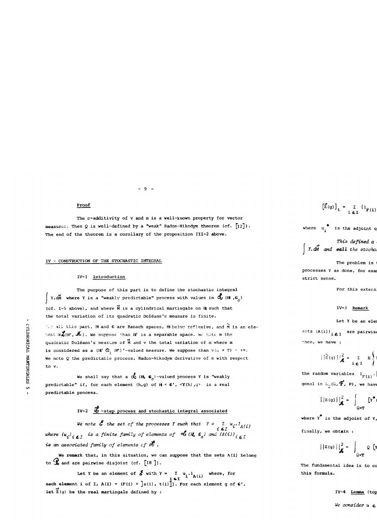# **Proof**

**The a-additivity of v and m is a well-known property for vector measure c Then 9 is well-defined by a "weak" Radon-Nikodym theorem (cf. [12]) . The end of the theorem is a corollary of the proposition III-2 above.** 

**- 9 -**

# **IV - CONSTRUCTION OF THE STOCHASTIC INTEGRAL**

# **IV-1 Introduction**

The purpose of this part is to define the stochastic integral **1** Y.dM where Y is a "weakly predictable" process with values in  $\alpha_i$  (H ,  $\epsilon_{\alpha}$ ) (cf. I-5 above), and where  $\widetilde{M}$  is a cylindrical martingale on **H** such that the total variation of its quadratic Doléans's measure is finite.

**the total variation of its quadratic Doléans's measure is finite.** 

*C* **all this part, H and G are Banach spaces, H being reflexive, and M is an ele-2 ~.ent 3rjf(Hi' ,** *Jt>).* **We supnose than HT is a separable space. Wt. note m the**  quadratic Doléans's measure of M and v the total variation of m where m **is considered as a**  $(\mathbb{H}^t \mathcal{L}_1 \mathbb{H}^t)^*$ **-valued measure. We suppose than**  $v(\mathbb{G} \times T) \leq +\infty$ **.** We note Q the predictable process, Radon-Nikodym derivative of m with respect **§ We note** Q **the predictabie process, Radon-Nikodym derivative of m with respect** 

**M tO V.**  We shall say that a  $\alpha$  (H,  $\epsilon$ <sub>0</sub>)-valued process Y is "weakly predictable" if, for each element (h,g) of H × **C'**, <Y(h), $q$ > is a real predictable process.

# **IV-2**  $\frac{d}{dx}$  -step process and stochastic integral associated

**We note**  $\mathcal{E}$  **the set of the processes Y such that**  $Y = \sum_{i \in I} u_i \cdot l_{A(i)}$ where  $(u_i)_{i \in I}$  is a finite family of elements of  $\mathcal{L}(H, C_0)$  and  $(A(i))_{i \in I}$ **is an associated family of éléments of âfè .** 

We remark that, in this situation, we can suppose that the sets A(i) belong to  $\mathcal{C}$  and are pairwise disjoint (cf.  $[18]$ ).

Let Y be an element of  $\vec{G}$  with  $Y = \sum u_i \cdot 1_{A(i)}$  where, for  $i \in I$ **each élément i of I, A(i) = (F(i) \* Js (i) , t(i)]). For each élément g of C , let Z(g) be the real martingale defined by :** 

 $\left[\vec{z}(q)\right]_t = \sum_{i \in I} \left(\mathbf{1}_{\mathbf{F}(i)}\right)$ **1 e <sup>i</sup> ]s(i)At,t(i)At]** 

where  $u_i^*$  is the adjoint of

This defined a **I** Y.dM and **call** the stocha

The problem is processes Y as done, for exam **strict sensé.** 

For this extens

$$
f_{\rm{max}}(x)
$$

Let Y be an element of  $\theta$ 

sets  $(A(i))_{i \in I}$  are pairwis then, we have :

$$
||\hat{z}(q)||_{\mathcal{A}}^{2} = \sum_{i \in I} E
$$

 $\frac{1}{\sqrt{1+\frac{1}{\sqrt{1+\frac{1}{\sqrt{1+\frac{1}{\sqrt{1+\frac{1}{\sqrt{1+\frac{1}{\sqrt{1+\frac{1}{\sqrt{1+\frac{1}{\sqrt{1+\frac{1}{\sqrt{1+\frac{1}{\sqrt{1+\frac{1}{\sqrt{1+\frac{1}{\sqrt{1+\frac{1}{\sqrt{1+\frac{1}{\sqrt{1+\frac{1}{\sqrt{1+\frac{1}{\sqrt{1+\frac{1}{\sqrt{1+\frac{1}{\sqrt{1+\frac{1}{\sqrt{1+\frac{1}{\sqrt{1+\frac{1}{\sqrt{1+\frac{1}{\sqrt{1+\frac{1}{\sqrt{1+\frac{1}{\sqrt{1+\frac{1$  $\ddot{\phantom{1}}$ **gonal in**  $\mathbb{L}^{}_{p}$  ( $\Omega$ ,  $\mathbf{\overline{\mathcal{F}}}$ , **P)**, we have

$$
||z(g)||_{\mathcal{A}}^{2} = \int_{\Omega \times \mathbf{T}} [x^{*}]
$$

where  $Y^*$  is the adjoint of  $Y$ ,

**finally, we obtain :** 

$$
||z(g)||_{\blacklozenge}^2 = \int_{\Omega \times T} Q \, \left[ Y \right]
$$

The fundamental idea is to co **this formula.** 

IV-4 Lemma (top

 $We consider u \in$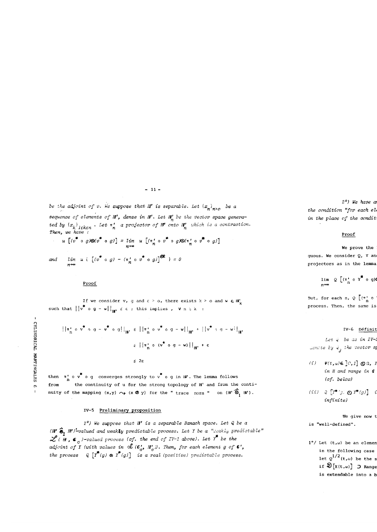**- 11 -**

**be the adjoint of v. We suppose that** *Hl\** **is separable. Let ^ <sup>x</sup> <sup>n</sup> ^ n > <sup>0</sup> b& & séquence of éléments of** *B<sup>1</sup> j* **dense in** *B'***. Let** *B^* **be the vector space generated by**  $\{x_i\}_{i \in I}$ , Let  $\pi'$  a projector of H<sup>t</sup> onto H' which is a contraction.  $h \cdot \frac{h}{h}$ Then, we have

$$
u\left[(v^* \circ g)\otimes (v^* \circ g)\right] = \lim_{n \to \infty} u\left[(\pi'_n \circ v^* \circ g)\otimes (\pi'_n \circ v^* \circ g)\right]
$$

 $\begin{bmatrix} \frac{1}{m} & u \end{bmatrix} \begin{bmatrix} u^* & 0 \end{bmatrix} = \begin{bmatrix} \pi'_n & 0 \end{bmatrix} \begin{bmatrix} \frac{1}{m} & 0 \end{bmatrix} \begin{bmatrix} \frac{1}{m} & 0 \end{bmatrix} = 0$ 

# **Proof**

**If we consider v, g and**  $\epsilon > 0$ **, there exists**  $k > 0$  **and**  $w \in H_k$ such that  $||v^* \circ g - w||_{\mathbf{H}^1} \le \varepsilon$ ; this implies,  $v \circ x$ :

$$
\left|\left|\pi_{n}^{*} \circ v^{*} \circ g - v^{*} \circ g\right|\right|_{\mathbf{H}^{*}} \leq \left|\left|\pi_{n}^{*} \circ v^{*} \circ g - w\right|\right|_{\mathbf{H}^{*}} + \left|\left|v^{*} \circ g - w\right|\right|_{\mathbf{H}^{*}}
$$

$$
\leq \left|\left|\pi_{n}^{*} \circ (v^{*} \circ g - w)\right|\right|_{\mathbf{H}^{*}} + \varepsilon
$$

$$
\leq 2\varepsilon
$$

then  $\pi_n^{\bullet}$  o  $\check{\pi}$  o  $g$  converges strongly to  $\check{\sigma}$  o  $g$  in  $\mathbf{B}^{\bullet}$ . The lemma follows from the continuity of u for the strong topology of **H'** and from the conti**from the continuity of the mapping**  $(x,y) \rightarrow (x \otimes y)$  **for the "trace norm " on**  $(H' \hat{\otimes}_H H')$ **.** 

**number of the mapping (x,y) for the mapping (x,y) for the**  $\mathcal{L}$  **on**  $\mathcal{L}$  **(w) for the**  $\mathcal{L}$ 

# **IV-5 Preliminary proposition**

**1°) We suppose that** *W* **is a separable Banach space. Let Q be a**  *(B<sup>1</sup>*  **0^** *Hi***')'-valued and weakly predictable process. Let Y be a "weakly predictable"**   $\mathscr{L}(\mathbf{H}, \mathbf{C})$ -valued process (cf. the end of IV-1 above). Let Y<sup>\*</sup> be the **adjoint of Y (with values in** 06 **(C\** *B<sup>r</sup>*  **)). Then, for each élément g of G'<sup>3</sup>** the process  $Q[Y^*(g) \otimes Y^*(g)]$  is a real (positive) predictable process.

**the process Q [Y (g) & Y (g)~\ is a real (positive) predictable process.** 

**2°) We have an analoguous resuit if we put9 in the 1°) above<sup>3</sup>**  $the condition "for each et$ in the place of the condit

# **Proof**

# **We prove the 1° ) : the proof of the 2° ) is absolutely analoguous. We consider Q, Y and g. We consider also a séquence (tt\*) of b**  $\frac{1}{2}$  **n**  $\frac{1}{2}$  **p**  $\frac{1}{2}$  **p**  $\frac{1}{2}$  **p**  $\frac{1}{2}$  **p**  $\frac{1}{2}$  **p**  $\frac{1}{2}$  **p**  $\frac{1}{2}$  **p**  $\frac{1}{2}$  **p**  $\frac{1}{2}$  **p**  $\frac{1}{2}$  **p**  $\frac{1}{2}$  **p**  $\frac{1}{2}$  **p**  $\frac{1}{2}$  **p**  $\frac{1}{2}$  **p**  $\frac{1}{2}$ projectors as in the lemma

$$
\lim_{n \to \infty} Q \left[ (\pi_n^{\mathsf{T}} \circ \mathsf{Y}^{\clubsuit} \circ \mathsf{q}) \mathsf{C} \right]
$$

But, for each  $n, \varrho$   $(\pi, \circ)$ **n process. Then, the same is true for Q [(Y o g)<S(Y o g)] . <sup>n</sup> # \*** 

# IV-6 Définit

Let  $\ddot{u}$  be as in IVdenote by  $\frac{d}{d}$  the vector  $\frac{d}{d}$ 

**(i) V**(t,w)∈ **[**C,1**] ⊗** Ω, Y  $i$ n *H* and range in  $\boldsymbol{\mathsf{S}}$ **(cf. below)** 

$$
(ii) \quad Q \left[ T^* \left( g \right) \otimes T^*(g) \right] \quad i
$$
  
 *infinite*)

 $We give now to$ **is "well-defined".** 

**1°/** Let  $(t, \omega)$  be an element in the following case **let**  $Q^{\prime\prime}$  **(t,w)** be the s  $\iint \mathcal{D}[X(t,\omega)]$  **3** Range is extendable into a **b**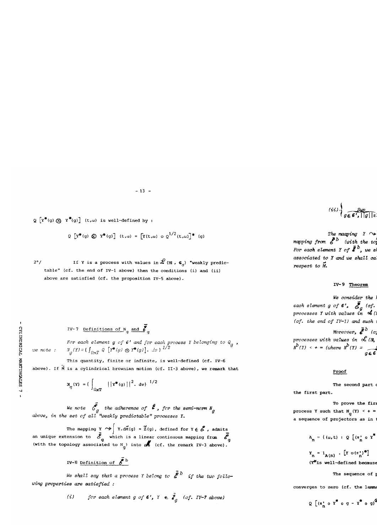**- 13 -**

$$
Q\left[Y^{\clubsuit}(g) \oslash Y^{\clubsuit}(g)\right]
$$
 (t,  $\omega$ ) is well-defined by :

$$
Q \left[ Y^{\#}(q) \bigotimes Y^{\#}(q) \right] (t, \omega) = \left[ Y(t, \omega) \circ Q^{1/2}(t, \omega) \right]^{\#} (q)
$$

**2°/** If **Y** is a process with values in  $\mathcal{L}$  (Hl,  $\mathbf{c}_n$ ) "weakly predic**tabie" (cf. the end of IV-1 above) then the conditions (i) and (ii) above are satisfied (cf. the proposition IV-S above) .** 

# **1V-7** <u>Definitions of N<sub>q</sub> and  $\vec{\ell}_q$ </u>

**g**<br> **g**<br> **g**<br> **g**<br> **g**<br> **g** 

**g**  $\frac{1}{2}$  **For each each process W**  $\frac{1}{2}$  belonging to  $\frac{1}{2}$  **belonging to**  $\frac{1}{2}$ 

**jg This quantity, finite or infinité, is well-defined (cf. IV-6 3**<br>**E** above). If  $\stackrel{\sim}{M}$  is a cylindrical brownian motion (cf. II-3 above), we remark that

$$
N_g(Y) = \left\{ \int_{\Omega \times T} ||Y^*(g)||^2, dv \right\}^{1/2}
$$

**We note (f the adhérence of £ , for the semi-norm above, in the set of ail "weakly •predictabie" processes Y .** 

The mapping **Y**  $\rightsquigarrow$   $\mid$  **Y**.dM(g) = Z(g), defined for **Y**  $\in$   $\leq$   $\mid$  , admits **an unique extension to S which is a linear continuous mapping fram (? (with the topology associated to N^ ) into** *çM>* **(cf. the remark IV-3 above) .** 

IV-8 Definition of 
$$
\overline{S}
$$
 b

We shall say that a process Y belong to  $\tilde{\mathcal{E}}^b$  if the two follo**wing properties are satisfied :** 

(i) for each element g of  $\mathbf{G}'$ ,  $Y \in \tilde{\mathbf{F}}_g$  (cf. IV-7 above)

 $(iii)$   $\left\{\frac{sup}{g\in G', ||g||_{\mathcal{S}}}\right\}$ 

The maaping  $Y \sim$ **mapping from**  $\boldsymbol{\xi}$  $\boldsymbol{\mu}$  **(with the top**  $For each element *Y* of *E* , we show$ **associated to Y and we shall call it the stochastic intégral of Y with respect to M.** 

# **IV-9 Theorem**

 $We consider the$ **each element g of G',**  $\boldsymbol{\xi}$  (cf. **processes Y** with values in  $\mathcal{A}$  (i (cf. the end of IV-1) and such Moreover,  $\bar{\mathbf{f}}^b$  (c) processes with values in  $\mathcal{L}_{(H_2)}$ 

 $\dot{b}$ ,  $\dot{b}$ ,  $\dot{c}$   $\dot{d}$ ,  $\dot{d}$  $q \in G$ 

# **Proof**

The second part of **the first part.** 

To prove the first **process Y such that**  $N_g(Y) < +\infty$ a sequence of projectors as in

$$
A_n = \{ (\omega, t) : Q \left[ (\pi_n^* \circ Y^*) \right]
$$

 $Y_n = 1_{A(n)} \cdot [Y \circ (\pi_n^{\dagger})^{\dagger}]$  $(Y^*1s$  well-defined because

**The sequence of** 

converges to zero (cf. the lemma

$$
Q \left[ \left( \pi_n^* \circ Y^* \circ g - Y^* \circ g \right)^2 \right]
$$

**^**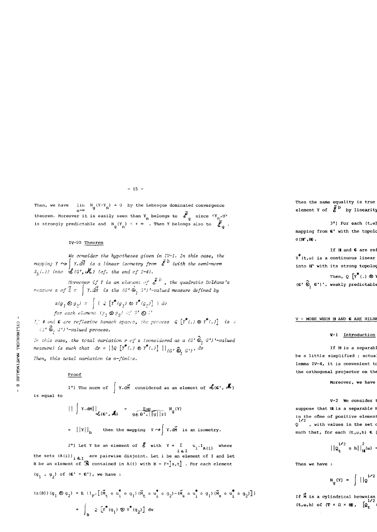# **- 15 -**

Then, we have  $\lim_{q} (Y-Y_n) = 0$  by the Lebesgue dominated convergence **theorem. Moreover it is easily seen than Y belongs to £ since < Y ,g> 1.** Then Y belongs also to  $\vec{P}$ 

# **is strongly predictable and N^(Y^ ) < + « . Then Y belongs also to £ ^ .**

**I**<br>*I* **We consider the hypothèses given in** IV**-1. In this case, the**   $\mathcal{L}$  is a linear isometry from  $\mathcal{L}$  (with the semi-norm  $\mathcal{L}$  the semi-norm  $\mathcal{L}$  the semi-norm  $\mathcal{L}$  the semi-norm  $\mathcal{L}$  the semi-norm  $\mathcal{L}$  the semi-norm  $\mathcal{L}$  the semi-norm  $\mathcal{L}$  the semi-n

Horeover if I is an element of **6**  $Z$  =  $\uparrow$  Y**.**aM  $\downarrow$  **s** the  $(G^{\prime} \otimes_{\overline{I}} G^{\prime})$  -valued measure defined by

 $\alpha$  of  $\alpha$  is the  $\alpha$   $\mathbf{F}$  is the  $\mathbf{F}$  final by  $\mathbf{F}$  and  $\mathbf{F}$  for  $\mathbf{F}$  is  $\mathbf{F}$  is  $\mathbf{F}$  is  $\mathbf{F}$  is  $\mathbf{F}$  is  $\mathbf{F}$  is  $\mathbf{F}$  is  $\mathbf{F}$  is  $\mathbf{F}$  is  $\mathbf{F}$  is  $\mathbf{F}$  is  $\mathbf$ **z(9j €>g2) = | ( « [^(g2) © y\*(GJ] } dv**  for each element  $(g_1 \otimes g_2)$  of  $G' \otimes F'$ 

<sup>j</sup> If 3 and **G** are **reflexive** Banach spacec, the process Q [Y\* (• ) ® Y\* **(. )] is**<sup>a</sup>

 $\mathbb{G}^* \widehat{\otimes}_1 G'$ )'-valued process.<br>In this case, the total variation r of z (considered as a  $(G' \widehat{\otimes}_1 G')'$ -valued measure) is such that  $dr = ||Q[Y^*(.) \otimes Y^*(.)]||_{(G' \widehat{\mathfrak{S}}_1 G')}$ , dv

Then, this total variation is  $\sigma$ -finite.

 $\infty$  **1°**) The norm of  $\left[ Y \cdot d \vec{M} \right]$  considered as an element of  $d_i(\epsilon', \epsilon'')$  $\frac{1}{2}$  **F**  $\frac{1}{2}$  **The normal form of c** 

$$
|| \int x \cdot dM ||_{\infty} = \frac{\sup}{g \in G', ||g|| \le 1} N_g(Y)
$$
  
=  $||Y||_b$  then the mapping  $Y \rightarrow \int Y \cdot d\vec{M}$  is an isometry.

**2°)** Let **Y** be an element of  $\mathcal{E}$  with  $Y = \sum u_i \cdot 1_{x_i(x)}$  where **i ei the sets (A(i)) . are pairwise disjoint. Let i be an élément of I and let B be an élément of contained in A(i) with B = F\*]s,t] . For each élément (91 / 9 <sup>2</sup> ) of (G<sup>1</sup> x G') , we have :** 

$$
(z(B)) (q_1 \otimes q_2) = E \{1_{F} \cdot \left[ (\stackrel{\sim}{M}_{t} \circ u_1^* \circ q_1) (\stackrel{\sim}{M}_{t} \circ u_1^* \circ q_2) - (\stackrel{\sim}{M}_{s} \circ u_1^* \circ q_1) (\stackrel{\sim}{M}_{s} \circ u_1^* \circ q_2) \right] \}
$$
  

$$
= \int_B 2 \left[ Y^*(q_1) \otimes Y^*(q_2) \right] dv
$$

Then the same equality is true element Y of  $\tilde{\xi}^{\text{b}}$  by linearity

**3\*)** For each  $(t, \omega)$  $mapping from$  G' with the topology  $\sigma$  (**H'** , **H**) .

**If H** and **G** are ref  $\mathbf{Y}^*$ (t,w) is a continuous linear  $\mathbf{H}^{\prime}$  with its strong topolog **Then, Q**  $\left[ Y^* (\cdot) \otimes Y \right]$ 

**(G'**  $\widehat{\otimes}_1$  G')', weakly predictable

# **V - MORE WHEN H AND C ARE HILBE**

# **V-l Introduction**

If **H** is a separabl **be a little simplified ; actual** lemma IV-4, it is convenient to the orthogonal projector on the

**V-2 We consider the World** suppose that **H** is a separable **1** in the cône of positive element **1/2**<br>Q , with values in the set o such that, for each  $(t, \omega, h)$   $\epsilon$ 

$$
||\rho_t^{1/2} \text{ o } h||_{H^{(\omega)}}^2 =
$$

**Then we have :** 

$$
N_g(Y) = \int |q^{1/2}
$$

**If**  $\widetilde{M}$  **is a cylindrical brownian**  $(\mathbf{t}, \mathbf{\omega}, \mathbf{h})$  of  $(\mathbf{T} \times \Omega \times \mathbf{H})$ ,  $[\mathbf{Q}_{\mathbf{t}}]$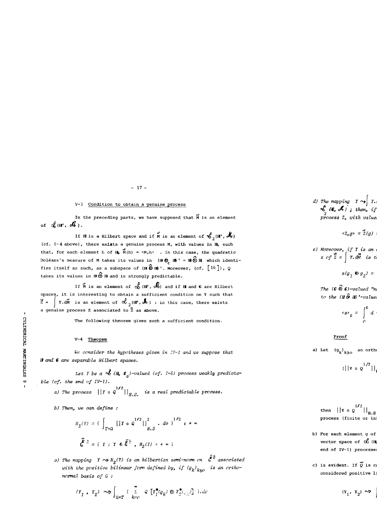# **- 17 -**

# **V-3 Condition to obtain a genuine process**

In the preceding parts, we have supposed that  $\widetilde{M}$  is an element of  $\oint_{0}$  (H<sup>t</sup>,  $\oint_{0}$ ).

If **H** is a Hilbert space and if M is an element of  $\mathcal{L}_{2}$  (H',  $\mathcal{M}_{0}$ ) **(cf. 1-4 above) , there exists a genuine process M, with values in H, such**  that, for each element h of  $H_1$ ,  $\overline{M}(h) = \langle M, h \rangle$  . In this case, the quadratic **Doléans's measure of M taxes its values in (B © B) ' = B© B which identi- /%. e \_ \* fies itself as such, as a subspace of (B ® B) ' . Moreover, (cf. [\_16 J ) , Q takes its values in B ® Hl and is strongly predictable.** 

If  $\vec{M}$  is an element of  $\oint_{\mathcal{O}} (\vec{H}^t, \vec{\delta})$  and if **H** and **6** are Hilbert **spaces, it is interesting to obtain a sufficient condition on Y such that ~£ = | Y.dM is an élément of oê ^ (HT,** 3o ) **: in this case, there exists ^ a genuine process Z associated to Z as above.** 

**k The following theorem gives such a sufficient condition.** 

# $V-4$  Theorem

We consider the hypotheses given in  $IV-1$  and we suppose that *H* and **G** are separable Hilbert spaces.

Let Y be a  $\mathcal{S}(H, \mathfrak{C})$ -valued (cf. 1-5) process weakly predictable (cf. the end of IV-1).

- a) The process  $||Y \circ q^{1/2}||_{H.S.}$  is a real predictable process.
- **b**) Then, we can define :

$$
N_2(Y) = \{ \int_{T \times \Omega} ||Y \circ q^{1/2}||_{H.S}^2 \cdot dv \}^{1/2} \le + \infty
$$
  

$$
\bar{\xi}^2 = \{ Y : Y \in \bar{\xi}^b, N_2(Y) \le + \infty \}
$$

The mapping  $Y \rightarrow N_o(Y)$  is an hilbertian semi-norm on  $\zeta^2$  associated with the positive bilinear form defined by, if  $(g_k)_{k>0}$  is an ortho**normal basis of G :** 

$$
(r_1, r_2) \rightsquigarrow \int_{\Omega \times T} \left( \sum_{k=c}^{\infty} \varphi \left[ r_1^*(g_k) \otimes r_2^*(g_k) \right] \right) dx
$$

The mapping  $Y \rightarrow Y$ .c *cs* **(<b>E**, c<sup>h</sup>) ; then, if<br> *2* process Z, with values

$$
\langle z, g \rangle = \mathbf{Z}(g) \; :
$$

**e) Moreover, if Y is an**  $\epsilon$ **z** of Z = | Y.dM is the

$$
z(g_1 \otimes g_2) =
$$

The  $(G \mathbin{\widehat{\otimes}} G)$ -valued "n  $to$  the  $(H \hat{\Theta} H)'$ -value

$$
\langle z \rangle_t = \int_0^t d
$$

# **Proof**

**a**) Let  $\left( \mathfrak{g}_{\nu} \right)_{\nu > 0}$  an ortho

$$
(|x \circ \varrho^{1/2}|)|
$$

**1/2**   $\mathbf{H} \cdot \mathbf{S} = \mathbf{H} \cdot \mathbf{B} \cdot \mathbf{S}$ process (finite or in

- **b)** For each element g of **vector** space of  $\alpha$ <sup>2</sup> (H) **end of IV-1) processe**
- c) is evident. If  $\widetilde{Q}$  is c considered positive 1

$$
(\mathbf{x}_1, \ \mathbf{x}_2) \sim
$$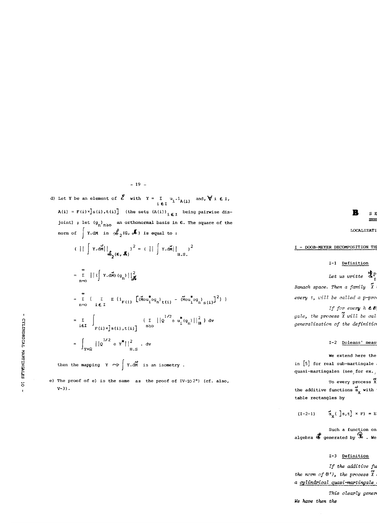$-19$  -

d) Let Y be an element of  $\mathcal{E}$  with  $Y = \sum_{i \in I} u_i \cdot 1_{A(i)}$  and,  $\forall i \in I$ ,  $A(i) = F(i)x]s(i), t(i)$  (the sets  $(A(i))_{i \in I}$  being pairwise disjoint) ; let  $(g_n)_{n\geq 0}$  an orthonormal basis in G. The square of the norm of  $\int$  Y.dM in  $\mathcal{L}_2(G, \mathcal{M})$  is equal to:

$$
(|\big| \int x \cdot d\vec{M}| \big|_{\mathcal{S}_2(\epsilon, \mathcal{R})} \big)^2 = (||\big| \int x \cdot d\vec{M}| \big|_{H.S.} \big)^2
$$

$$
= \sum_{n=0}^{\infty} || ( \int x . d\vec{M} ) (q_{n}) ||_{\vec{M}}^{2}
$$
  
\n
$$
= \sum_{n=0}^{\infty} { \sum_{i \in I} E (i_{F(i)} [\tilde{M}ou_{i}^{*}og_{n}]_{t(i)} - (\tilde{M}ou_{i}^{*}og_{n})_{s(i)} ]^{2} } }
$$
  
\n
$$
= \sum_{i \in I} \int_{F(i) \times \int_{S}(i), t(i) ]} { (\sum_{n \ge 0} || 2^{1/2} \circ u_{i}^{*}(g_{n}) ||_{\vec{H}}^{2} ) dv}
$$
  
\n
$$
= \int_{T \times \Omega} || 2^{1/2} \circ x^{*} ||_{\vec{H}.S}^{2} dv
$$

then the mapping  $Y \rightarrow \int Y \cdot dM$  is an isometry.

e) The proof of e) is the same as the proof of  $IV-102^{\circ}$  (cf. also,  $V-3)$ .

B  $S<sub>1</sub>$ 

**LOCALIZATI** 

# I - DOOB-MEYER DECOMPOSITION TH

I-1 Definition

Let us writte  $\mathbf{d}_1^p$ Banach space. Then a family  $\tilde{X}$ 

every t, will be called a p-pro

If for every  $h \in B$ gale, the process  $\tilde{x}$  will be cal generalization of the definitio

I-2 Doleans' meas

We extend here the in [5] for real sub-martingale quasi-martingales (see for ex.,

To every process X the additive functions  $\overset{\leftrightarrow}{\alpha}_x$  with table rectangles by

 $\vec{a}_x$ ( ]s, t] × F) = E  $(1-2-1)$ 

Such a function on<br>algebra  $\overrightarrow{\Phi}$  generated by  $\widehat{\mathbb{R}}$ . We

# I-3 Definition

If the additive fu the norm of  $B'$ ), the process  $\widetilde{X}$ a cylindrical quasi-martingale

This clearly gener We have then the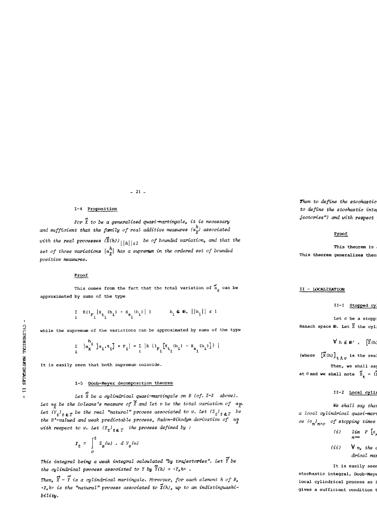# **1-4 Proposition**

**For X to be a generalized quasi-martingale, it is neoessary h and sufficient that the family of real additive measures (ot^J associated**  with the real processes  $\tilde{X}(h)$ <sub>|| $h$ || $\leq 1$  be of bounded variation, and that the</sub> set of those variations  $|a^h_{\mathbf{x}}|$  has a supremum in the ordered set of bounded **positive measures.** 

**- 21 -**

# **Proof**

This comes from the fact that the total variation of  $\vec{a}_y$  can be **approximated by sums of the type** 

$$
\sum_{i} E\left(\mathbf{1}_{F_i} | \mathbf{X}_{t_i}(h_i) - \mathbf{X}_{s_i}(h_i) | \right) \qquad h_i \in \mathbf{B}, \ ||h_i|| \leq 1
$$

while the supremum of the variations can be approximated by sums of the type

$$
\sum_{i} \left| \alpha_{x}^{h_{i}} \right| s_{i} t_{i} \left| \sum_{i} \left| \sum_{j} \alpha_{j}^{h_{i}} \right| \right|
$$

It is easily seen that both supremum coincide.

# I-5 Doob-Meyer decomposition theorem

Let  $\tilde{X}$  be a cylindrical quasi-martingale on  $B$  (cf. I-3 above). Let  $a_{\tilde{X}}$  be the Doleans's measure of  $\tilde{X}$  and let v be the total variation of  $a_{\tilde{X}}$ . Let  $\binom{a}{V_t}_{t \in T}$  be the real "natural" process associated to v. Let  $\binom{z}{t}_{t \in T}$  be *Let B'***-valued and weak predictable process, Radon-Nikodym derivative of**  $\alpha_{\widetilde{X}}$ with respect to v. Let  $(Y_t)_{t \in \mathcal{T}}$  the process defined by :

$$
Y_t = \int\limits_{0}^{t} Z_s(\omega) \cdot dV_s(\omega)
$$

**This intégral being a weak intégral calculated "by trajectories". Let Y be**  the cylindrical process associated to Y by  $\tilde{Y}(h) = \langle Y, h \rangle$ .

Then,  $\tilde{X}$  -  $\tilde{Y}$  is a cylindrical martingale. Moreover, for each element h of B, **<Y,h> is the "natural" process associated to X(h), up to an indistinguashibility.** 

Then to define the stochastic to define the stochastic inte  $jectories")$  and with respect

# **Proof**

This theorem is This theorem generalizes theo

# **II - LOCALIZATIQN**

II-1 Stopped cy

Let  $\sigma$  be a stopp **Banach space B. Let**  $\tilde{z}$  **the cyl** 

 $V$ **h** $\epsilon$ **B'**,  $[\tilde{z}$ <sup>(h)</sup>

**(where**  $\begin{bmatrix} \mathbf{x} \\ \mathbf{x} \end{bmatrix}$  (h)  $\begin{bmatrix} \mathbf{t} \\ \mathbf{t} \end{bmatrix}$  is the real Then, we shall say

**at**  $\sigma$  and we shall note  $z_t = (x$ 

# II-2 <u>Local cyli</u>

**We shall say that a local cylindrical quasi^martingale), if there exists an increasing séquen** $ce$  ( $\sigma_n$ <sup>*n*</sup> $n>o$  of stopping times

$$
(i) \qquad \lim_{n\to\infty} P \left[ \circ \right]
$$

 $(iii) \quad \forall n, the$ drical mai

It is easily seen

stochastic integral, Doob-Meye local cylindrical process as : **gives a sufficient condition to** 

**« o**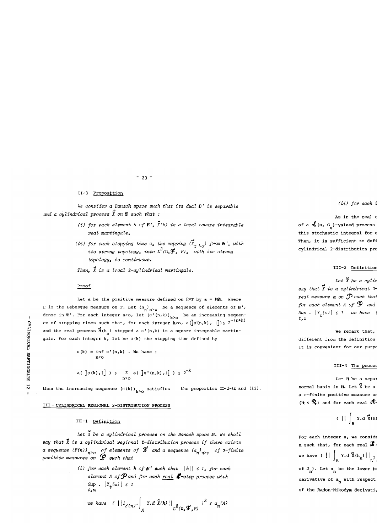# **- 23 -**

# **II-3 Proposition**

**We consider a Banach space such that its dual** *B<sup>r</sup>*  **is separable**  and a cylindrical process  $\vec{X}$  on  $\vec{B}$  such that :

- **(i) for each élément h of** *B',* **X(h) is a local square integrable real martingale,**
- (ii) for each stopping time  $\sigma$ , the mapping  $(\tilde{X}_{t \text{ A}\sigma})$  from  $E'$ , with its strong topology, into  $L^2(\Omega, \mathcal{F}, P)$ , with its strong **topology, is continuous.**

**Then, X is a local 2-cylindrical martingale.** 

# **Proof**

Let a be the positive measure defined on  $\Omega \times T$  by a = P $\otimes$ <sup>p</sup> where  $\mu$  is the Lebesgue measure on **T.** Let  $(h_n)_{n>0}$  be a sequence of elements of  $\beta'$ , **n n>o |**<br>|*b* dense in B'. For each integer n by let (a  $(n, k)$ )^ **k**> **b** an increasing sequentce of stopping times such that, for each integer k>o,  $a(\int_0^{\infty} \sigma(n,k), 1]$ )  $\leq 2^{-(n+k)}$ **z** and the real process  $\mathbf{\tilde{M}}(h_n)$  stopped a  $\sigma'(n,k)$  is a square integrable martin-**W gale. For each integer k, let be a (k) the stopping time defined by** 

$$
\sigma(k) = \inf_{n \geq 0} \sigma(n,k) \quad \text{We have :}
$$
\n
$$
\sigma(k) = \inf_{n \geq 0} \sigma'(n,k) \quad \text{We have :}
$$
\n
$$
\sigma(k) = \int_{1}^{\infty} \sigma(k) \, d^{n-1} \, d^{n-1} \, d^{n-1} \, d^{n-1} \, d^{n-1} \, d^{n-1} \, d^{n-1} \, d^{n-1} \, d^{n-1} \, d^{n-1} \, d^{n-1} \, d^{n-1} \, d^{n-1} \, d^{n-1} \, d^{n-1} \, d^{n-1} \, d^{n-1} \, d^{n-1} \, d^{n-1} \, d^{n-1} \, d^{n-1} \, d^{n-1} \, d^{n-1} \, d^{n-1} \, d^{n-1} \, d^{n-1} \, d^{n-1} \, d^{n-1} \, d^{n-1} \, d^{n-1} \, d^{n-1} \, d^{n-1} \, d^{n-1} \, d^{n-1} \, d^{n-1} \, d^{n-1} \, d^{n-1} \, d^{n-1} \, d^{n-1} \, d^{n-1} \, d^{n-1} \, d^{n-1} \, d^{n-1} \, d^{n-1} \, d^{n-1} \, d^{n-1} \, d^{n-1} \, d^{n-1} \, d^{n-1} \, d^{n-1} \, d^{n-1} \, d^{n-1} \, d^{n-1} \, d^{n-1} \, d^{n-1} \, d^{n-1} \, d^{n-1} \, d^{n-1} \, d^{n-1} \, d^{n-1} \, d^{n-1} \, d^{n-1} \, d^{n-1} \, d^{n-1} \, d^{n-1} \, d^{n-1} \, d^{n-1} \, d^{n-1} \, d^{n-1} \, d^{n-1} \, d^{n-1} \, d^{n-1} \, d^{n-1} \, d^{n-1} \, d^{n-1} \, d^{n-1} \, d^{n-1} \, d^{n-1} \, d^{n-1} \, d^{n-1} \, d^{n-1} \, d^{n-1} \, d^{n-1} \,
$$

then the increasing sequence  $(\sigma(k))_{k\geq 0}$  satisfies the properties II-2-(i) and (ii).

# III - CYLINDRICAL REGIONAL 2-DISTRIBUTION PROCESS

# $III-1$  Definition

**m - 1 Définition Let X be a cylindrical process on the Banach space B. We shall**  say that  $\tilde{x}$  is a cylindrical regional 2-distribution process if there exists a sequence (F(n))  $n > o$  of elements of  $\mathfrak{F}'$  and a sequence (a<sub>n</sub>)  $n > o$  of  $\sigma$ -finite<br>positive measures on  $\mathfrak{P}$  such that

> (i) for each element h of  $\mathbf{B}'$  such that  $\left|\left|h\right|\right| \leq 1$ , for each **élément A of**^Pand **for each real %-step process with**   $\begin{vmatrix} \text{Sup} & |Y_t(\omega)| \leq 1 \\ t, \omega \end{vmatrix}$

we have 
$$
(||i_{F(n)} \cdot \int_A Y.d \ \tilde{X}(h)||_{L^2(\Omega, \mathcal{F}, P)}^2 \leq a_n(A)
$$

# $(iii)$  for each  $i$

As in the real o of a  $\oint$ <sub>(H, G<sub>o</sub>)-valued process</sub> this stochastic integral for  $\epsilon$ Then, it is sufficient to defi cylindrical 2-distribution pro

# **III-2 Définition**

Let  $\vec{X}$  be a cylin say that X is a cylindrical 2 $real$  measure  $a$  on  $\mathcal{D}$  such that for each element A of  $\mathcal{P}$  and  $\sup_{t\downarrow 0}$  .  $|Y_{\underline{t}}(\omega)|\leq 1$  we have (<br>**t**,  $\omega$ 

# **We remark that,**

 $different from the definition$ It is convenient for our purpose

# III-3 The proces

Let **H** be a separable **normal basis in HL Let**  $\tilde{\mathbf{x}}$  **be a a** *o***-finite positive measure of a a-finite positive measure on fP such that, for each élément (h x b) of** 

$$
(\| \int_{B} x \cdot d \mathbf{x}(h)
$$

**(H| x 5fc) and for each real step process Y, we have :** 

For each integer n, we conside **m** such that, for each real  $\mathcal{S}$ **we have (**  $|| \cdot ||$  **Y.d**  $\tilde{X}(h_1) ||_2$  $\mathbf{J}_\mathbf{B}$  **n**  $\mathbf{L}^*$ **of J<sub>n</sub>**). Let  $a_n$  be the lower bo **derivative of a with respect** of the Radon-Nikodym derivati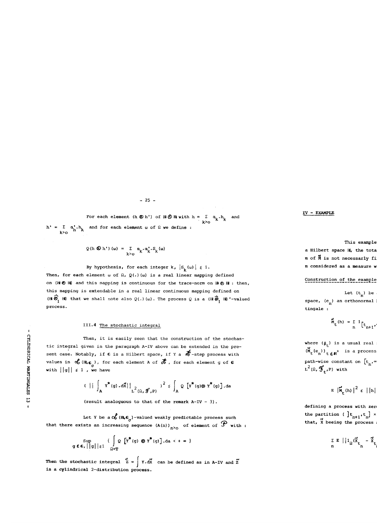**- 25 -**

**For each element (h**  $\emptyset$  **h') of H**  $\emptyset$  **H with h =**  $\sum \alpha_i \cdot h_i$  and **k>o**   $h = E \left( \frac{h}{h} \right)$  and for each element  $\omega$  of  $\theta$  we define :

$$
Q(h \otimes h^{*}) (\omega) = \sum_{k \geq 0} \alpha_{k} \cdot \alpha_{k}^{*} \cdot S_{k} (\omega)
$$

By hypothesis, for each integer  $k$ ,  $|S_k(\omega)| \leq 1$ . Then, for each element  $\omega$  of  $\Omega$ ,  $Q(.)$  ( $\omega$ ) is a real linear mapping defined **on (H! ®** H) **and this mapping is continuous for the trace-norm on Hl © HJ : then, this mapping is extendable in a real linear continuous mapping defined on**   $(H \circledast_{1}^{\bullet} H)$  that we shall note also  $Q(.)$  (w). The process Q is a  $(H \circledast_{1}^{\bullet} H)$  '-valued **process.** 

# **III.4 The stochastic intégral**

Then, it is easily seen that the construction of the stochastic integral given in the paragraph A-IV above can be extended in the pre**h** sent case. Notably, if **G** is a Hilbert space, if Y a  $\mathcal{H}$ -step process with **b** values in  $\sigma$ <sub>o</sub> (H<sub>i</sub>c<sub>c</sub> ), for each element A of  $\sigma$  , for each element g of G with  $||g|| \leq 1$ , we have

$$
\left\{\begin{array}{c}\n\left\{\begin{array}{c}\n\left\{\begin{array}{c}\n\left\{\begin{array}{c}\n\left\{\begin{array}{c}\n\left\{\begin{array}{c}\n\left\{\begin{array}{c}\n\left\{\begin{array}{c}\n\left\{\begin{array}{c}\n\left\{\begin{array}{c}\n\left\{\begin{array}{c}\n\left\{\begin{array}{c}\n\left\{\begin{array}{c}\n\left\{\begin{array}{c}\n\left\{\begin{array}{c}\n\left\{\begin{array}{c}\n\left\{\begin{array}{c}\n\left\{\begin{array}{c}\n\left\{\begin{array}{c}\n\left\{\begin{array}{c}\n\left\{\begin{array}{c}\n\left\{\begin{array}{c}\n\left\{\begin{array}{c}\n\left\{\begin{array}{c}\n\left\{\begin{array}{c}\n\left\{\begin{array}{c}\n\left\{\begin{array}{c}\n\left\{\begin{array}{c}\n\left\{\begin{array}{c}\n\left\{\begin{array}{c}\n\left\{\begin{array}{c}\n\left\{\begin{array}{c}\n\left\{\begin{array}{c}\n\left\{\begin{array}{c}\n\left\{\begin{array}{c}\n\left\{\begin{array}{c}\n\left\{\begin{array}{c}\n\left\{\begin{array}{c}\n\left\{\begin{array}{c}\n\left\{\begin{array}{c}\n\left\{\begin{array}{c}\n\left\{\begin{array}{c}\n\left\{\begin{array}{c}\n\left\{\begin{array}{c}\n\left\{\begin{array}{c}\n\left\{\begin{array}{c}\n\left\{\begin{array}{c}\n\left\{\begin{array}{c}\n\left\{\begin{array}{c}\n\left\{\begin{array}{c}\n\left\{\begin{array}{c}\n\left\{\begin{array}{c}\n\left\{\begin{array}{c}\n\left\{\begin{array}{c}\n\left\{\begin{array}{c}\n\left\{\begin{array}{c}\n\left\{\begin{array}{c}\n\left\{\begin{array}{c}\n\left\{\begin{array}{c}\n\left\{\begin{array}{c}\n\left\{\begin{array}{c}\n\left\{\begin{array}{c}\n\left\{\begin{array}{c}\n\left\{\begin{array}{c}\n\left\{\begin{array}{c}\n\left\{\begin{array}{c}\n\left\{\begin{array}{c}\n\left\{\begin{array}{c}\n\left\{\begin{array}{c}\n\
$$

**w (resuit analoguous to that of the remark A-IV - 3) .** 

**Let** Y **be a** (H,G **)-valued weakly predictabie process such**  that there exists an increasing sequence  $(A(n))_{n\geq 0}$  of element of  $J$  with :

$$
\sup_{g \in \mathbf{G}_{r}} \left\{ \left| g \right| \middle| \xi \right\} \left\{ \int_{\Omega \times T} \Omega \left[ Y^*(g) \otimes Y^*(g) \right], da \right\} \left\{ + \infty \right\}
$$

**t\* f «s» \_J Then the stochastic intégral Z =** J Y.dx **can be defined as in A-IV and Z** 

# **IV - EXAMPLE**

This example

**a Hilbert space H, the total m** of  $\tilde{M}$  is not necessarly fi **m** considered as a measure  $w$ 

# **Construction of the example :**

Let  $(t_n)$  be space, (e<sub>n</sub>) an orthonormal **tingale :** 

$$
\mathbf{M}_{\mathbf{t}}(\mathbf{h}) = \sum_{n=1}^{\infty} \mathbf{1}_{\left[\mathbf{t}_{n+1}\right]},
$$

**where**  $(\beta_t)$  is a usual real  $(\tilde{M}_{t}(e_{n}))_{t \in \mathbb{R}^{+}}$  is a process **t n t feK J n-l<sup>J</sup> path-wise constant on**  $|t|$ **,**  $\infty$ **L <sup>2</sup> ( û , S ^ P ) with** 

$$
E \left| \mathbf{M}_{\mathbf{t}}(\mathbf{h}) \right|^{2} \leqslant ||\mathbf{h}||
$$

defining a process with zer  $\mathbf{t}_{n+1} \cdot \mathbf{t}_{n}$   $\times$  $\frac{N}{X}$  beeing the process

$$
\sum_{n=1}^{\Sigma} E \left[ \left| 1_{\Omega} (\tilde{x}_{t_{n}} - \tilde{x}_{t_{n}}) \right| \right]
$$

**i**